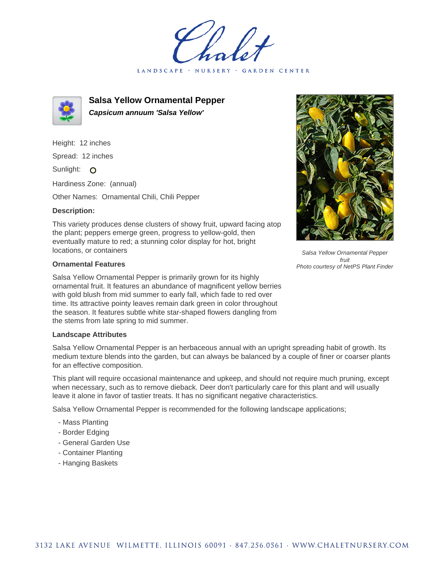LANDSCAPE · NURSERY GARDEN CENTER



**Salsa Yellow Ornamental Pepper Capsicum annuum 'Salsa Yellow'**

Height: 12 inches Spread: 12 inches Sunlight: O

Hardiness Zone: (annual)

Other Names: Ornamental Chili, Chili Pepper

## **Description:**

This variety produces dense clusters of showy fruit, upward facing atop the plant; peppers emerge green, progress to yellow-gold, then eventually mature to red; a stunning color display for hot, bright locations, or containers

## **Ornamental Features**

Salsa Yellow Ornamental Pepper is primarily grown for its highly ornamental fruit. It features an abundance of magnificent yellow berries with gold blush from mid summer to early fall, which fade to red over time. Its attractive pointy leaves remain dark green in color throughout the season. It features subtle white star-shaped flowers dangling from the stems from late spring to mid summer.

## **Landscape Attributes**

Salsa Yellow Ornamental Pepper is an herbaceous annual with an upright spreading habit of growth. Its medium texture blends into the garden, but can always be balanced by a couple of finer or coarser plants for an effective composition.

This plant will require occasional maintenance and upkeep, and should not require much pruning, except when necessary, such as to remove dieback. Deer don't particularly care for this plant and will usually leave it alone in favor of tastier treats. It has no significant negative characteristics.

Salsa Yellow Ornamental Pepper is recommended for the following landscape applications;

- Mass Planting
- Border Edging
- General Garden Use
- Container Planting
- Hanging Baskets



Salsa Yellow Ornamental Pepper fruit Photo courtesy of NetPS Plant Finder